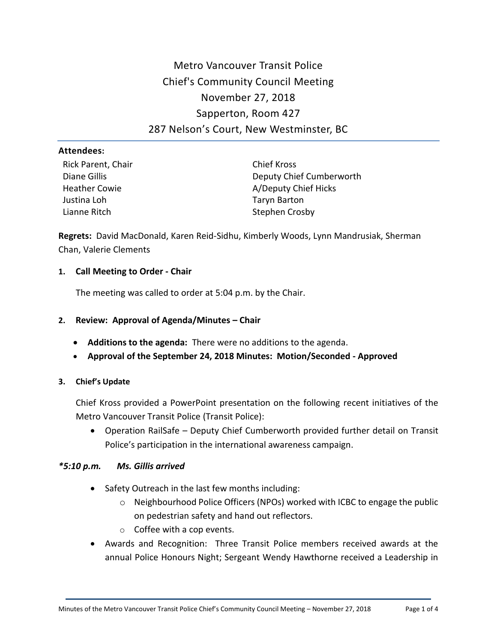# Metro Vancouver Transit Police Chief's Community Council Meeting November 27, 2018 Sapperton, Room 427 287 Nelson's Court, New Westminster, BC

### **Attendees:**

Rick Parent, Chair Diane Gillis Heather Cowie Justina Loh Lianne Ritch

Chief Kross Deputy Chief Cumberworth A/Deputy Chief Hicks Taryn Barton Stephen Crosby

**Regrets:** David MacDonald, Karen Reid-Sidhu, Kimberly Woods, Lynn Mandrusiak, Sherman Chan, Valerie Clements

## **1. Call Meeting to Order - Chair**

The meeting was called to order at 5:04 p.m. by the Chair.

## **2. Review: Approval of Agenda/Minutes – Chair**

- **Additions to the agenda:** There were no additions to the agenda.
- **Approval of the September 24, 2018 Minutes: Motion/Seconded - Approved**

## **3. Chief's Update**

Chief Kross provided a PowerPoint presentation on the following recent initiatives of the Metro Vancouver Transit Police (Transit Police):

 Operation RailSafe – Deputy Chief Cumberworth provided further detail on Transit Police's participation in the international awareness campaign.

## *\*5:10 p.m. Ms. Gillis arrived*

- Safety Outreach in the last few months including:
	- $\circ$  Neighbourhood Police Officers (NPOs) worked with ICBC to engage the public on pedestrian safety and hand out reflectors.
	- o Coffee with a cop events.
- Awards and Recognition: Three Transit Police members received awards at the annual Police Honours Night; Sergeant Wendy Hawthorne received a Leadership in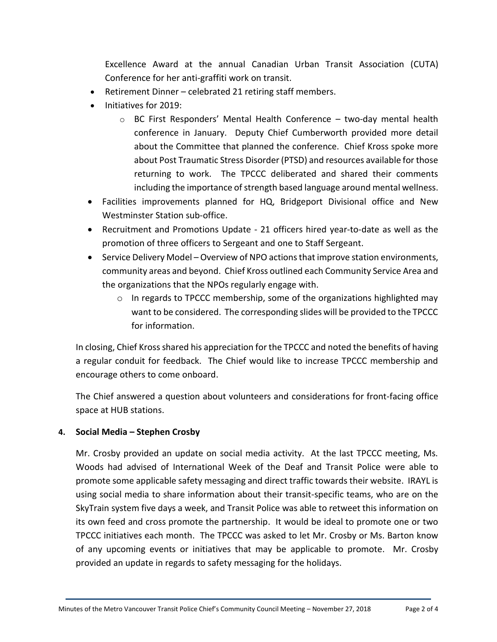Excellence Award at the annual Canadian Urban Transit Association (CUTA) Conference for her anti-graffiti work on transit.

- Retirement Dinner celebrated 21 retiring staff members.
- Initiatives for 2019:
	- $\circ$  BC First Responders' Mental Health Conference two-day mental health conference in January. Deputy Chief Cumberworth provided more detail about the Committee that planned the conference. Chief Kross spoke more about Post Traumatic Stress Disorder (PTSD) and resources available for those returning to work. The TPCCC deliberated and shared their comments including the importance of strength based language around mental wellness.
- Facilities improvements planned for HQ, Bridgeport Divisional office and New Westminster Station sub-office.
- Recruitment and Promotions Update 21 officers hired year-to-date as well as the promotion of three officers to Sergeant and one to Staff Sergeant.
- Service Delivery Model Overview of NPO actions that improve station environments, community areas and beyond. Chief Kross outlined each Community Service Area and the organizations that the NPOs regularly engage with.
	- o In regards to TPCCC membership, some of the organizations highlighted may want to be considered. The corresponding slides will be provided to the TPCCC for information.

In closing, Chief Kross shared his appreciation for the TPCCC and noted the benefits of having a regular conduit for feedback. The Chief would like to increase TPCCC membership and encourage others to come onboard.

The Chief answered a question about volunteers and considerations for front-facing office space at HUB stations.

# **4. Social Media – Stephen Crosby**

Mr. Crosby provided an update on social media activity. At the last TPCCC meeting, Ms. Woods had advised of International Week of the Deaf and Transit Police were able to promote some applicable safety messaging and direct traffic towards their website. IRAYL is using social media to share information about their transit-specific teams, who are on the SkyTrain system five days a week, and Transit Police was able to retweet this information on its own feed and cross promote the partnership. It would be ideal to promote one or two TPCCC initiatives each month. The TPCCC was asked to let Mr. Crosby or Ms. Barton know of any upcoming events or initiatives that may be applicable to promote. Mr. Crosby provided an update in regards to safety messaging for the holidays.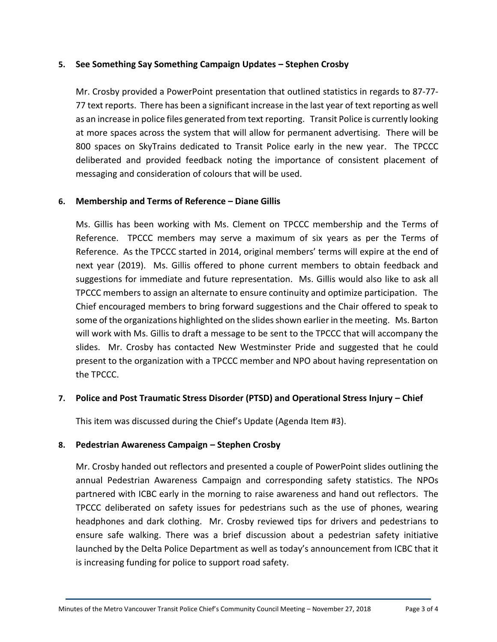## **5. See Something Say Something Campaign Updates – Stephen Crosby**

Mr. Crosby provided a PowerPoint presentation that outlined statistics in regards to 87-77- 77 text reports. There has been a significant increase in the last year of text reporting as well as an increase in police files generated from text reporting. Transit Police is currently looking at more spaces across the system that will allow for permanent advertising. There will be 800 spaces on SkyTrains dedicated to Transit Police early in the new year. The TPCCC deliberated and provided feedback noting the importance of consistent placement of messaging and consideration of colours that will be used.

## **6. Membership and Terms of Reference – Diane Gillis**

Ms. Gillis has been working with Ms. Clement on TPCCC membership and the Terms of Reference. TPCCC members may serve a maximum of six years as per the Terms of Reference. As the TPCCC started in 2014, original members' terms will expire at the end of next year (2019). Ms. Gillis offered to phone current members to obtain feedback and suggestions for immediate and future representation. Ms. Gillis would also like to ask all TPCCC members to assign an alternate to ensure continuity and optimize participation. The Chief encouraged members to bring forward suggestions and the Chair offered to speak to some of the organizations highlighted on the slides shown earlier in the meeting. Ms. Barton will work with Ms. Gillis to draft a message to be sent to the TPCCC that will accompany the slides. Mr. Crosby has contacted New Westminster Pride and suggested that he could present to the organization with a TPCCC member and NPO about having representation on the TPCCC.

## **7. Police and Post Traumatic Stress Disorder (PTSD) and Operational Stress Injury – Chief**

This item was discussed during the Chief's Update (Agenda Item #3).

## **8. Pedestrian Awareness Campaign – Stephen Crosby**

Mr. Crosby handed out reflectors and presented a couple of PowerPoint slides outlining the annual Pedestrian Awareness Campaign and corresponding safety statistics. The NPOs partnered with ICBC early in the morning to raise awareness and hand out reflectors. The TPCCC deliberated on safety issues for pedestrians such as the use of phones, wearing headphones and dark clothing. Mr. Crosby reviewed tips for drivers and pedestrians to ensure safe walking. There was a brief discussion about a pedestrian safety initiative launched by the Delta Police Department as well as today's announcement from ICBC that it is increasing funding for police to support road safety.